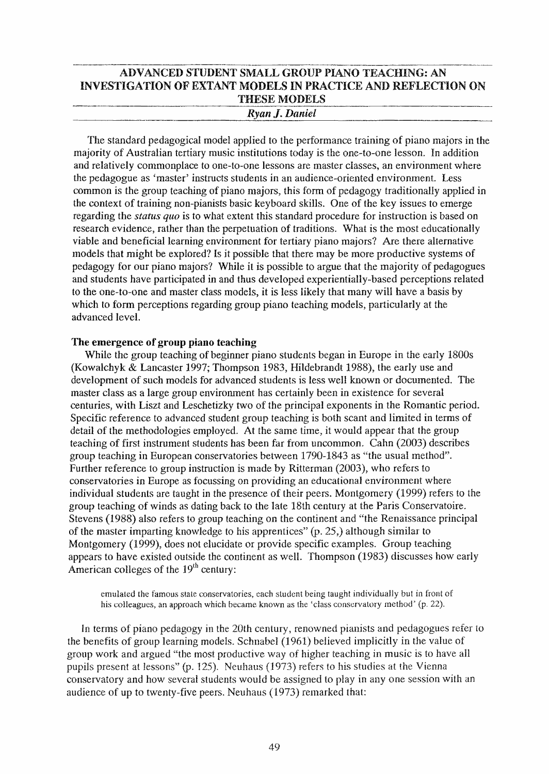# ---.--~~---~---~ ---~---- ADVANCED STUDENT SMALL GROUP PIANO TEACHING: AN INVESTIGATION OF EXTANT MODELS IN PRACTICE AND REFLECTION ON THESE MODELS  $R$ *yan J. Daniel*

The standard pedagogical model applied to the performance training of piano majors in the majority of Australian tertiary music institutions today is the one-to-one lesson. In addition and relatively commonplace to one-to-one lessons are master classes, an environment where the pedagogue as 'master' instructs students in an audience-oriented environment. Less common is the group teaching of piano majors, this form of pedagogy traditionally applied in the context of training non-pianists basic keyboard skills. One of the key issues to emerge regarding the *status quo* is to what extent this standard procedure for instruction is based on research evidence, rather than the perpetuation of traditions. What is the most educationally viable and beneficial learning enviromnent for tertiary piano majors? Are there alternative models that might be explored? Is it possible that there may be more productive systems of pedagogy for our piano majors? While it is possible to argue that the majority of pedagogues and students have participated in and thus developed experientially-based perceptions related to the one-to-one and master class models, it is less likely that many will have a basis by which to form perceptions regarding group piano teaching models, particularly at the advanced level.

## The emergence of group piano teaching

While the group teaching of beginner piano students began in Europe in the early 1800s (Kowa1chyk & Lancaster 1997; Thompson 1983, Hildebrandt 1988), the early use and development of such models for advanced students is less well known or documented. The master class as a large group environment has certainly been in existence for several centuries, with Liszt and Leschetizky two of the principal exponents in the Romantic period. Specific reference to advanced student group teaching is both scant and limited in terms of detail of the methodologies employed. At the same time, it would appear that the group teaching of first instrument students has been far from uncommon. Cahn (2003) describes group teaching in European conservatories between 1790-1843 as "the usual method". Further reference to group instruction is made by Ritterman (2003), who refers to conservatories in Europe as focussing on providing an educational environment where individual students are taught in the presence of their peers. Montgomery (1999) refers to the group teaching of winds as dating back to the late 18th century at the Paris Conscrvatoire. Stevens (1988) also refers to group teaching on the continent and "the Renaissance principal of the master imparting knowledge to his apprentices" (p. 25,) although similar to Montgomery (1999), does not elucidate or provide specific examples. Group teaching appears to have existed outside the continent as well. Thompson (1983) discusses how early American colleges of the  $19<sup>th</sup>$  century:

emulated the famous slale conservatories, each student being taught individually but in front of his colleagues, an approach which became known as the 'class conservatory method' (p. 22).

In terms of piano pedagogy in the 20th century, renowned pianists and pedagogues refer to the benefits of group learning models. Schnabel (1961) believed implicitly in the value of group work and argued "the most productive way of higher teaching in music is to have all pupils present at lessons" (p. 125). Neuhaus (1973) refers to his studies at the Vienna conservatory and how several students would be assigned to play in anyone session with an audience of up to twenty-five peers. Neuhaus (1973) remarked that: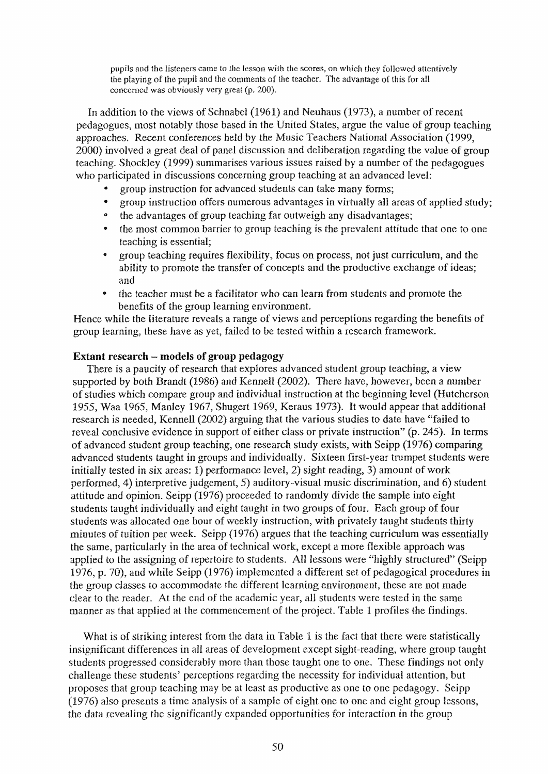pupils and the listeners came to the lesson with the scores, on which they followed attentively the playing of the pupil and the comments of the teacher. The advantage of this for all concerned was obviously very great (p. 200).

In addition to the views of Schnabel (1961) and Neuhaus (1973), a number of recent pedagogues, most notably those based in the United Stales, argue the value of group tcaching approaches. Recent conferences held by the Music Teachers National Association (1999, 2000) involved a great deal of panel discussion and deliberation regarding the value of group teaching. Shockley (1999) summarises various issues raised by a number of the pedagogues who participated in discussions concerning group teaching at an advanced level:

- group instruction for advanced students can take many forms;
- group instruction offers numerous advantages in virtually all areas of applied study;
- the advantages of group teaching far outweigh any disadvantages;
- the most common barrier to group teaching is the prevalent attitude that one to one teaching is essential;
- e group tcaching requires flexibility, focus on process, not just curriculum, and the ability to promote the transfer of concepts and the productive exchange of ideas; and
- the teacher must be a facilitator who can learn from students and promote the benefits of the group learning environment.

Hence while the literature reveals a range of views and perceptions regarding the benefits of group learning, these have as yet, failed to be tested within a research framework.

### Extant research - models of group pedagogy

There is a paucity of research that explores advanced student group teaching, a view supported by both Brandt (1986) and Kennell (2002). There have, however, been a number of studies which compare group and individual instruction at the beginning level (Hutcherson 1955, Waa 1965, Manley 1967, Shugert 1969, Keraus 1973). It would appear that additional research is needed, Kennell (2002) arguing that the various studies to date have «failed to reveal conclusive evidence in support of either class or private instruction" (p. 245). In terms of advanced student group teaching, one research study exists, with Seipp (1976) comparing advanced students taught in groups and individually\_ Sixteen first-year trumpet students were initially tested in six areas; 1) performance level, 2) sight reading, 3) amount of work performed, 4) interpretive judgement, 5) auditory-visual music discrimination, and 6) student attitude and opinion. Seipp (1976) proceeded to randomly divide the sample into eight students taught individually and eight taught in two groups of four. Each group of four students was allocated one hour of weekly instruction, with privately taught students thirty minutes of tuition per week. Seipp (1976) argues that the teaching curriculum was essentially the same, particularly in the area of technical work, except a more flexible approach was applied to the assigning of repertoire to students. All lessons were "highly structured" (Seipp 1976, p. 70), and while Seipp (1976) implemented a different set of pedagogical procedures in the group classes to accommodate the different learning environment, these are not made clear to the reader. At the end of the academic year, all students were tested in the same manner as that applied at the commencement of the project. Table 1 profiles the findings.

What is of striking interest from the data in Table 1 is the fact that there were statistically insignificant differences in all areas of development except sight-reading, where group taught students progressed considerably more than those taught one to one. These findings not only challenge these students' perceptions regarding the necessity for individual attention, but proposes that group teaching may be at least as productive as one to one pedagogy. Seipp (1976) also presents a time analysis of a sample of eight one to one and eight group lessons, the data revealing the significantly expanded opportunities for interaction in the group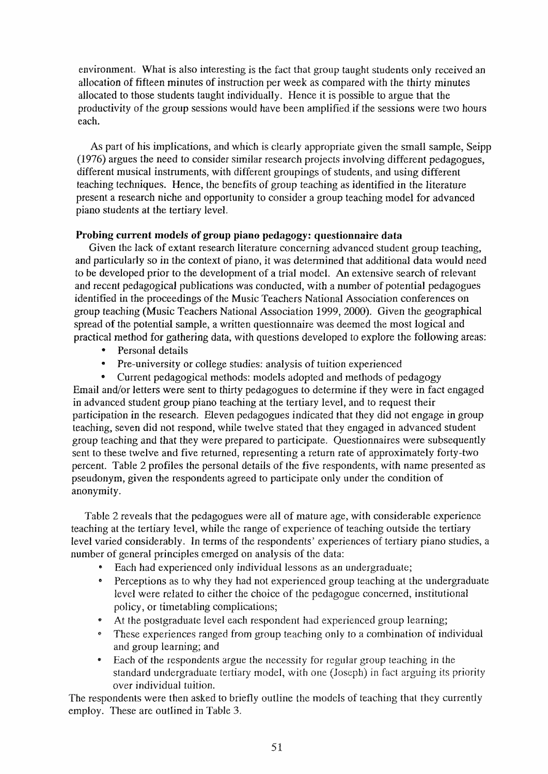environment. What is also interesting is the fact that group taught students only received an allocation of fifteen minutes of instruction per week as compared with the thirty minutes allocated to those students taught individually. Hence it is possible to argue that the productivity of the group sessions would have been amplified if the sessions were two hours each.

As part of his implications, and which is clearly appropriate given the small sample, Seipp (1976) argues the need to consider similar research projects involving different pedagogues, different musical instruments, with different groupings of students, and using different teaching techniques. Hence, the benefits of group teaching as identified in the literature present a research niche and opportunity to consider a group teaching model for advanced piano students at the tertiary level.

# Probing current models of group piano pedagogy: questionnaire data

Given the lack of extant research literature concerning advanced student group teaching, and particularly so in the context of piano, it was detennined that additional data would need to be developed prior to the development of a trial model. An extensive search of relevant and recent pedagogical publications was conducted, with a number of potential pedagogues identified in the proceedings of the Music Teachers National Association conferences on group teaching (Music Teachers National Association 1999, 2000). Given the geographical spread of the potential sample, a written questionnaire was deemed the most logical and practical method for gathering data, with questions developed to explore the following areas;

- Personal details
- Pre-university or college studies: analysis of tuition experienced

• Current pedagogical methods: models adopted and methods of pedagogy Email and/or letters were sent to thirty pedagogues to determine if they were in fact engaged in advanced student group piano teaching at the tertiary level, and to request their participation in the research. Eleven pedagogues indicated that they did not engage in group teaching, seven did not respond, while twelve stated that they engaged in advanced student group teaching and that they were prepared to participate. Questionnaires were subsequently sent to these twelve and five returned, representing a return rate of approximately forty-two percent. Table 2 profiles the personal details of the five respondents, with name presented as pseudonym, given the respondents agreed to participate only under the condition of anonymity.

Table 2 reveals that the pedagogues were all of mature age, with considerable experience teaching at the tertiary level, while the range of experience of teaching outside the tertiary level varied considerably. In terms of the respondents' experiences of tertiary piano studies, a number of general principles emerged on analysis of the data:

- Each had experienced only individual lessons as an undergraduate;
- .. Perceptions as to why they had not experienced group teaching at the undergraduate level were related to either the choice of the pedagogue concerned, institutional policy, or timetabling complications;
- At the postgraduate level each respondent had experienced group learning;
- These experiences ranged from group teaching only to a combination of individual and group learning; and
- Each of the respondents argue the necessity for regular group teaching in the standard undergraduate tertiary model, with one (Joseph) in fact arguing its priority over individual tuition.

The respondents were then asked to briefly outline the models of teaching that they currently employ. These are outlined in Table 3.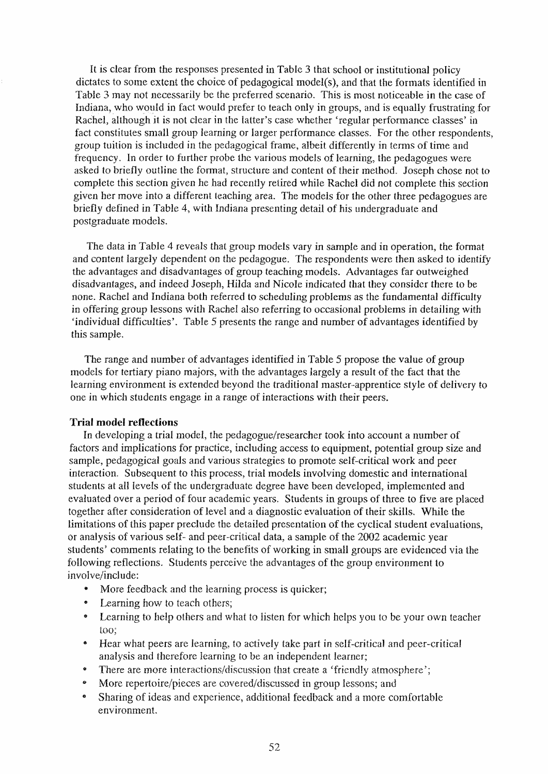It is clear from the responses presented in Table 3 that school or institutional policy dictates to some extent the choice of pedagogical model(s), and that the formats identified in Table 3 may not necessarily be the preferred scenario. This is most noticeable in the case of Indiana, who would in fact would prefer to teach only in groups, and is equally frustrating for Rachel, although it is not clear in the latter's case whether 'regular performance classes' in fact constitutes small group learning or larger performance classes. For the other respondents, group tuition is included in the pedagogical frame, albeit differently in tenns of time and frequency. In order to further probe the various models of learning, the pedagogues were asked to briefly outline the fonnat, structure and content of their method. Joseph chose not to complete this section given he had recently retired while Rachel did not complete this section given her move into a different teaching area. The models for the other three pedagogues are briefly defined in Table 4, with Indiana presenting detail of his undergraduate and postgraduate models.

The data in Table 4 reveals that group models vary in sample and in operation, the fonnat and content largely dependent on the pedagogue. The respondents were then asked to identify the advantages and disadvantages of group teaching models. Advantages far outweighed disadvantages, and indeed Joseph, Hilda and Nicole indicated that they consider there to be none. Rachel and Indiana both referred to scheduling problems as the fundamental difficulty in offering group lessons with Rachel also referring to occasional problems in detailing with 'individual difficulties'. Table 5 presents the range and number of advantages identified by this sample.

The range and number of advantages identified in Table 5 propose the value of group models for tertiary piano majors, with the advantages largely a result of the fact that the learning environment is extended beyond the traditional master-apprentice style of delivery to one in which students engage in a range of interactions with their peers.

### **Trial model reflections**

In developing a trial model, the pedagogue/researcher took into account a number of factors and implications for practice, including access to equipment, potential group size and sample, pedagogical goals and various strategies to promote self-critical work and peer interaction. Subsequent to this process, trial models involving domestic and international students at all levels of the undergraduate degree have been developed, implemented and evaluated over a period of four academic years. Students in groups of three to five are placed together after consideration of level and a diagnostic evaluation of their skills. While the limitations of this paper preclude the detailed presentation of the cyclical student evaluations, or analysis of various self- and peer-critical data, a sample of the 2002 academic year students' comments relating to the benefits of working in small groups are evidenced via the following reflections. Students perceive the advantages of the group environment to involve/include:

- More feedback and the learning process is quicker;
- $\bullet$ Learning how to teach others;
- Learning to help others and what to listen for which helps you to be your own teacher  $\bullet$ too;
- $\bullet$ Hear what peers are learning, to actively take part in self-critical and peer-critical analysis and therefore learning to be an independent learner;
- There are more interactions/discussion that create a 'friendly atmosphere';  $\bullet$
- .. More repertoire/pieces are covered/discussed in group lessons; and
- .. Sharing of ideas and experience, additional feedback and a more comfortable environment.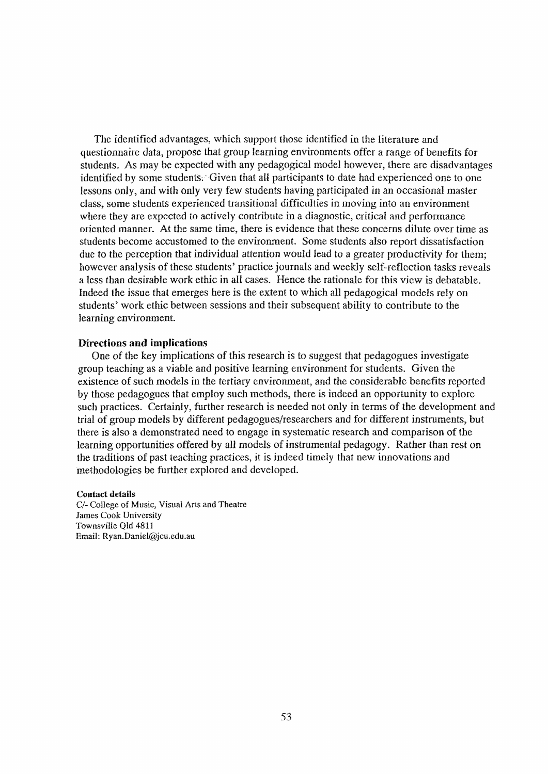The identified advantages, which support those identified in the literature and questionnaire data, propose that group learning environments offer a range of benefits for students. As may be expected with any pedagogical model however, there are disadvantages identified by some students; Given that all participants to date had experienced one to one lessons only, and with only very few students having participated in an occasional master class, some students experienced transitional difficulties in moving into an environment where they are expected to actively contribute in a diagnostic, critical and performance oriented manner. At the same time, there is evidence that these concerns dilute over time as students become accustomed to the environment. Some students also report dissatisfaction due to the perception that individual attention would lead to a greater productivity for them; however analysis of these students' practice journals and weekly self-reflection tasks reveals a less than desirable work ethic in all cases. Hence the rationale for this view is debatable. Indeed the issue that emerges here is the extent to which all pedagogical models rely on students' work ethic between sessions and their subsequent ability to contribute to the learning environment.

#### **Directions and implications**

One of the key implications of this research is to suggest that pedagogues investigate group teaching as a viable and positive learning environment for students. Given the existence of such models in the tertiary environment, and the considerable benefits reported by those pedagogues that employ such methods, there is indeed an opportunity to explore such practices. Certainly, further research is needed not only in tenus of the development and trial of group models by different pedagogues/researchers and for different instruments, but there is also a demonstrated need to engage in systematic research and comparison of the learning opportunities offered by all models of instrumental pedagogy. Rather than rest on the traditions of past teaching practices, it is indeed timely that new innovations and methodologies be further explored and developed.

#### Contact details

*C/-* College of Music, Visual Arts and Theatre lames Cook University Townsville Qld 4811 Email: Ryan.Daniel@jcu.edu.au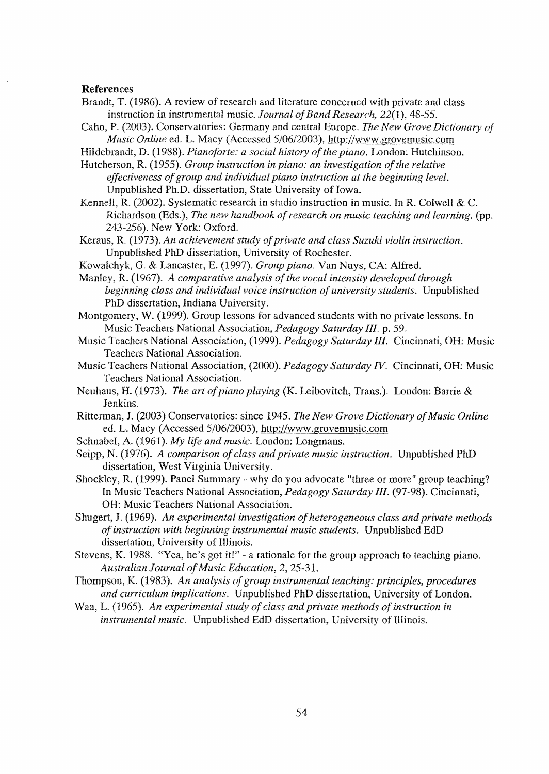#### References

- Brandt, T. (1986). A review of research and literature concerned with private and class instruction in instrumental music. *Journal of Band Research,* 22(1), 48-55.
- Cahn, P. (2003). Conservatories: Germany and central Europe. *The New Grove Dictionary of Music Online* ed. L. Macy (Accessed 5/06/2003), http://www.grovemusic.com

Hildebrandt, D. (1988). *Pianoforte: a social history of the piano.* London: Hutchinson.

Hutcherson, R. (1955). *Group instruction in piano: an investigation of the relative effectiveness of group and individual piano instruction at the beginning level.*  Unpublished Ph.D. dissertation, State University of Iowa.

Kennell, R. (2002). Systematic research in studio instruction in music. In R. Colwell & C. Richardson (Eds.), *The new handbook of research on music teaching and learning.* (pp. 243-256). New York: Oxford.

Keraus, R. (1973). *An achievement study of private and class Suzuki violin instruction.*  Unpublished PhD dissertation, University of Rochester.

KowaIchyk, G. & Lancaster, E. (1997). *Group piano.* Van Nuys, CA: Alfred.

Manley, R. (1967). *A comparative analysis of the vocal intensity developed through beginning class and individual voice instruction of university students.* Unpublished PhD dissertation, Indiana University.

Montgomery, W. (1999). Group lessons for advanced students with no private lessons. In Music Teachers National Association, *Pedagogy Saturday III.* p. 59.

- Music Teachers National Association, (1999). *Pedagogy Saturday III.* Cincinnati, OH: Music Teachers National Association.
- Music Teachers National Association, (2000). *Pedagogy Saturday IV.* Cincinnati, OH: Music Teachers National Association.
- Neuhaus, H. (1973). *The art of piano playing* (K. Leibovitch, Trans.). London: Barrie & Jenkins.
- Ritterman,1. (2003) Conservatories: since 1945. *The New Grove Dictionary of Music Online*  ed. L. Macy (Accessed 5/06/2003), http://www.grovemusic.com
- Schnabel, A. (1961). *My life and music.* London: Longmans.
- Seipp, N. (1976). *A comparison of class and private music instruction.* Unpublished PhD dissertation, West Virginia University.

Shockley, R. (1999). Panel Summary - why do you advocate "three or more" group teaching? In Music Teachers National Association, *Pedagogy Saturday* Ill. (97-98). Cincinnati, OH: Music Teachers National Association.

Shugert, 1. (1969). *An experimental investigation of heterogeneous class and private methods of instruction with beginning instrumental music students.* Unpublished EdD dissertation, University of Illinois.

Stevens, K. 1988. "Yea, he's got it!" - a rationale for the group approach to teaching piano. *Australian Journal of Music Education,* 2, 25-3l.

Thompson, K. (1983). *An analysis of group instrumental teaching: principles, procedures and curriculum implications.* Unpublished PhD dissertation, University of London.

Waa, L. (1965). An experimental study of class and private methods of instruction in *instrumental music.* Unpublished EdD dissertation, University of Illinois.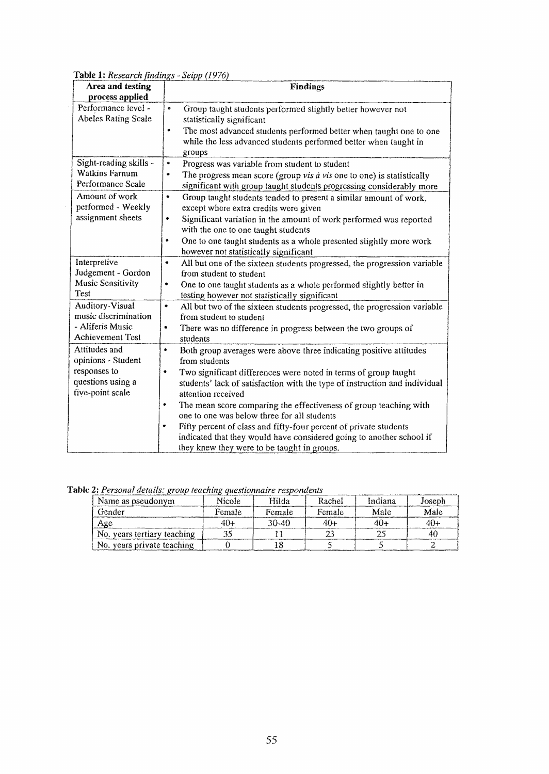Table 1: *Research findings* - *Seipp (197.6)* 

| Area and testing                               | <b>Findings</b>                                                                                                                                            |
|------------------------------------------------|------------------------------------------------------------------------------------------------------------------------------------------------------------|
| process applied                                |                                                                                                                                                            |
| Performance level -<br>Abeles Rating Scale     | Group taught students performed slightly better however not<br>۰<br>statistically significant                                                              |
|                                                | The most advanced students performed better when taught one to one<br>۰<br>while the less advanced students performed better when taught in<br>groups      |
| Sight-reading skills -                         | $\bullet$<br>Progress was variable from student to student                                                                                                 |
| Watkins Farnum<br>Performance Scale            | $\bullet$<br>The progress mean score (group vis à vis one to one) is statistically<br>significant with group taught students progressing considerably more |
| Amount of work<br>performed - Weekly           | ۰<br>Group taught students tended to present a similar amount of work,<br>except where extra credits were given                                            |
| assignment sheets                              | Significant variation in the amount of work performed was reported<br>٠<br>with the one to one taught students                                             |
|                                                | One to one taught students as a whole presented slightly more work<br>٠<br>however not statistically significant                                           |
| Interpretive                                   | All but one of the sixteen students progressed, the progression variable<br>$\bullet$                                                                      |
| Judgement - Gordon                             | from student to student                                                                                                                                    |
| <b>Music Sensitivity</b><br>Test               | $\bullet$<br>One to one taught students as a whole performed slightly better in<br>testing however not statistically significant                           |
| <b>Auditory-Visual</b><br>music discrimination | All but two of the sixteen students progressed, the progression variable<br>۰<br>from student to student                                                   |
| - Aliferis Music<br>Achievement Test           | There was no difference in progress between the two groups of<br>$\bullet$<br>students                                                                     |
| Attitudes and                                  | ٠<br>Both group averages were above three indicating positive attitudes                                                                                    |
| opinions - Student                             | from students                                                                                                                                              |
| responses to                                   | Two significant differences were noted in terms of group taught<br>۰                                                                                       |
| questions using a                              | students' lack of satisfaction with the type of instruction and individual                                                                                 |
| five-point scale                               | attention received                                                                                                                                         |
|                                                | The mean score comparing the effectiveness of group teaching with<br>٠                                                                                     |
|                                                | one to one was below three for all students                                                                                                                |
|                                                | Fifty percent of class and fifty-four percent of private students                                                                                          |
|                                                | indicated that they would have considered going to another school if                                                                                       |
|                                                | they knew they were to be taught in groups.                                                                                                                |

Table 2: Personal details: group teaching questionnaire respondents

| Name as pseudonym           | Nicole | Hilda     | Rachel | Indiana | Joseph |
|-----------------------------|--------|-----------|--------|---------|--------|
| Gender                      | Female | Female    | Female | Male    | Male   |
| Age                         | 40-    | $30 - 40$ | 40 -   | 404     |        |
| No. years tertiary teaching |        |           |        |         |        |
| No. years private teaching  |        |           |        |         |        |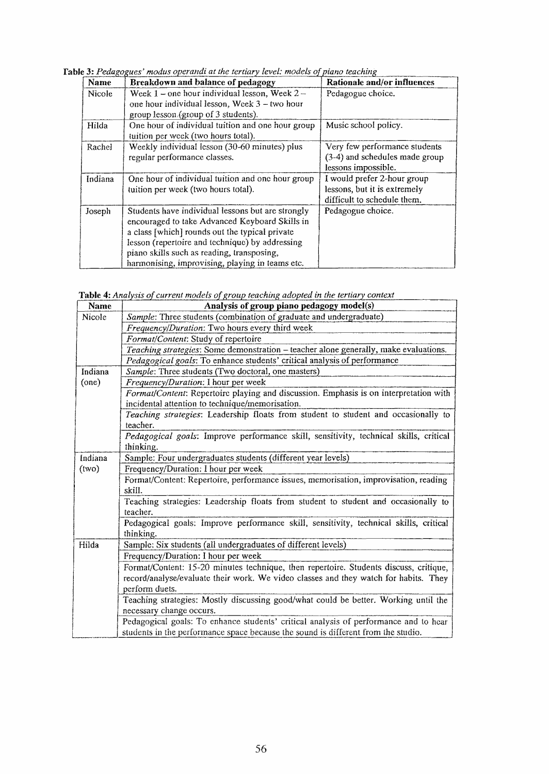Table 3: Pedagogues' modus operandi at the tertiary level: models of piano teaching

| <b>Name</b> | Breakdown and balance of pedagogy                                                                                                                                                                                                                                                                         | Rationale and/or influences                                                                |
|-------------|-----------------------------------------------------------------------------------------------------------------------------------------------------------------------------------------------------------------------------------------------------------------------------------------------------------|--------------------------------------------------------------------------------------------|
| Nicole      | Week $1$ – one hour individual lesson, Week $2$ –<br>one hour individual lesson, Week 3 - two hour<br>group lesson (group of 3 students).                                                                                                                                                                 | Pedagogue choice.                                                                          |
| Hilda       | One hour of individual tuition and one hour group<br>tuition per week (two hours total).                                                                                                                                                                                                                  | Music school policy.                                                                       |
| Rachel      | Weekly individual lesson (30-60 minutes) plus<br>regular performance classes.                                                                                                                                                                                                                             | Very few performance students<br>(3-4) and schedules made group<br>lessons impossible.     |
| Indiana     | One hour of individual tuition and one hour group<br>tuition per week (two hours total).                                                                                                                                                                                                                  | I would prefer 2-hour group<br>lessons, but it is extremely<br>difficult to schedule them. |
| Joseph      | Students have individual lessons but are strongly<br>encouraged to take Advanced Keyboard Skills in<br>a class [which] rounds out the typical private<br>lesson (repertoire and technique) by addressing<br>piano skills such as reading, transposing,<br>harmonising, improvising, playing in teams etc. | Pedagogue choice.                                                                          |

Table 4: Analysis of current models of group teaching adopted in the tertiary context

| Name    | Analysis of group piano pedagogy model(s)                                                                                                                                 |
|---------|---------------------------------------------------------------------------------------------------------------------------------------------------------------------------|
| Nicole  | Sample: Three students (combination of graduate and undergraduate)                                                                                                        |
|         | Frequency/Duration: Two hours every third week                                                                                                                            |
|         | Format/Content: Study of repertoire                                                                                                                                       |
|         | Teaching strategies: Some demonstration - teacher alone generally, make evaluations.                                                                                      |
|         | Pedagogical goals: To enhance students' critical analysis of performance                                                                                                  |
| Indiana | Sample: Three students (Two doctoral, one masters)                                                                                                                        |
| (one)   | Frequency/Duration: I hour per week                                                                                                                                       |
|         | Format/Content: Repertoire playing and discussion. Emphasis is on interpretation with<br>incidental attention to technique/memorisation.                                  |
|         | Teaching strategies: Leadership floats from student to student and occasionally to<br>teacher.                                                                            |
|         | Pedagogical goals: Improve performance skill, sensitivity, technical skills, critical<br>thinking.                                                                        |
| Indiana | Sample: Four undergraduates students (different year levels)                                                                                                              |
| (uv)    | Frequency/Duration: I hour per week                                                                                                                                       |
|         | Format/Content: Repertoire, performance issues, memorisation, improvisation, reading                                                                                      |
|         | skill.                                                                                                                                                                    |
|         | Teaching strategies: Leadership floats from student to student and occasionally to<br>teacher.                                                                            |
|         | Pedagogical goals: Improve performance skill, sensitivity, technical skills, critical<br>thinking.                                                                        |
| Hilda   | Sample: Six students (all undergraduates of different levels)                                                                                                             |
|         | Frequency/Duration: I hour per week                                                                                                                                       |
|         | Format/Content: 15-20 minutes technique, then repertoire. Students discuss, critique,                                                                                     |
|         | record/analyse/evaluate their work. We video classes and they watch for habits. They                                                                                      |
|         | perform duets.                                                                                                                                                            |
|         | Teaching strategies: Mostly discussing good/what could be better. Working until the<br>necessary change occurs.                                                           |
|         | Pedagogical goals: To enhance students' critical analysis of performance and to hear<br>students in the performance space because the sound is different from the studio. |